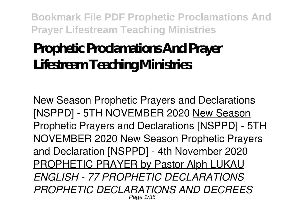# **Prophetic Proclamations And Prayer Lifestream Teaching Ministries**

New Season Prophetic Prayers and Declarations [NSPPD] - 5TH NOVEMBER 2020 New Season Prophetic Prayers and Declarations [NSPPD] - 5TH NOVEMBER 2020 New Season Prophetic Prayers and Declaration [NSPPD] - 4th November 2020 PROPHETIC PRAYER by Pastor Alph LUKAU *ENGLISH - 77 PROPHETIC DECLARATIONS PROPHETIC DECLARATIONS AND DECREES* Page 1/35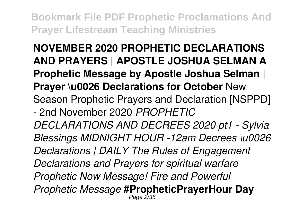**NOVEMBER 2020 PROPHETIC DECLARATIONS AND PRAYERS | APOSTLE JOSHUA SELMAN A Prophetic Message by Apostle Joshua Selman | Prayer \u0026 Declarations for October** New Season Prophetic Prayers and Declaration [NSPPD] - 2nd November 2020 *PROPHETIC DECLARATIONS AND DECREES 2020 pt1 - Sylvia Blessings MIDNIGHT HOUR -12am Decrees \u0026 Declarations | DAILY The Rules of Engagement Declarations and Prayers for spiritual warfare Prophetic Now Message! Fire and Powerful Prophetic Message* **#PropheticPrayerHour Day** Page 2/35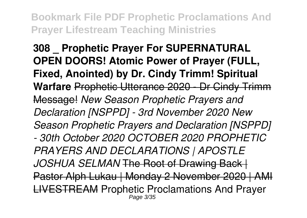**308 \_ Prophetic Prayer For SUPERNATURAL OPEN DOORS! Atomic Power of Prayer (FULL, Fixed, Anointed) by Dr. Cindy Trimm! Spiritual Warfare** Prophetic Utterance 2020 - Dr Cindy Trimm Message! *New Season Prophetic Prayers and Declaration [NSPPD] - 3rd November 2020 New Season Prophetic Prayers and Declaration [NSPPD] - 30th October 2020 OCTOBER 2020 PROPHETIC PRAYERS AND DECLARATIONS | APOSTLE JOSHUA SELMAN* The Root of Drawing Back | Pastor Alph Lukau | Monday 2 November 2020 | AMI LIVESTREAM Prophetic Proclamations And Prayer Page 3/35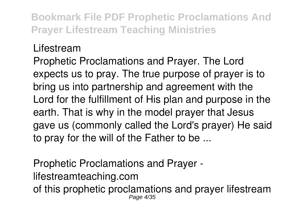#### Lifestream

Prophetic Proclamations and Prayer. The Lord expects us to pray. The true purpose of prayer is to bring us into partnership and agreement with the Lord for the fulfillment of His plan and purpose in the earth. That is why in the model prayer that Jesus gave us (commonly called the Lord's prayer) He said to pray for the will of the Father to be ...

Prophetic Proclamations and Prayer lifestreamteaching.com of this prophetic proclamations and prayer lifestream Page 4/35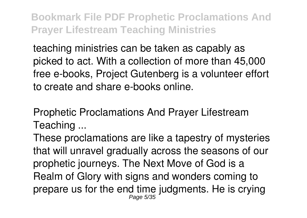teaching ministries can be taken as capably as picked to act. With a collection of more than 45,000 free e-books, Project Gutenberg is a volunteer effort to create and share e-books online.

Prophetic Proclamations And Prayer Lifestream Teaching ...

These proclamations are like a tapestry of mysteries that will unravel gradually across the seasons of our prophetic journeys. The Next Move of God is a Realm of Glory with signs and wonders coming to prepare us for the end time judgments. He is crying Page 5/35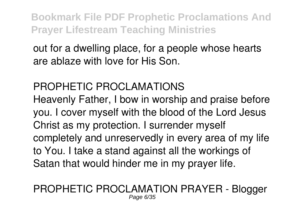out for a dwelling place, for a people whose hearts are ablaze with love for His Son.

### PROPHETIC PROCLAMATIONS

Heavenly Father, I bow in worship and praise before you. I cover myself with the blood of the Lord Jesus Christ as my protection. I surrender myself completely and unreservedly in every area of my life to You. I take a stand against all the workings of Satan that would hinder me in my prayer life.

#### PROPHETIC PROCLAMATION PRAYER - Blogger Page 6/35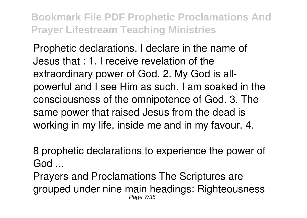Prophetic declarations. I declare in the name of Jesus that : 1. I receive revelation of the extraordinary power of God. 2. My God is allpowerful and I see Him as such. I am soaked in the consciousness of the omnipotence of God. 3. The same power that raised Jesus from the dead is working in my life, inside me and in my favour. 4.

8 prophetic declarations to experience the power of God ...

Prayers and Proclamations The Scriptures are grouped under nine main headings: Righteousness Page 7/35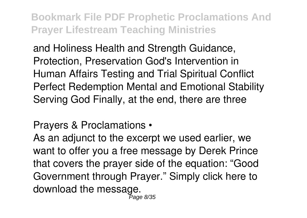and Holiness Health and Strength Guidance, Protection, Preservation God's Intervention in Human Affairs Testing and Trial Spiritual Conflict Perfect Redemption Mental and Emotional Stability Serving God Finally, at the end, there are three

Prayers & Proclamations •

As an adjunct to the excerpt we used earlier, we want to offer you a free message by Derek Prince that covers the prayer side of the equation: "Good Government through Prayer." Simply click here to download the message. Page 8/35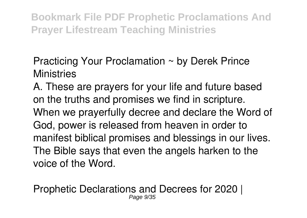Practicing Your Proclamation ~ by Derek Prince **Ministries** 

A. These are prayers for your life and future based on the truths and promises we find in scripture. When we prayerfully decree and declare the Word of God, power is released from heaven in order to manifest biblical promises and blessings in our lives. The Bible says that even the angels harken to the voice of the Word.

Prophetic Declarations and Decrees for 2020 | Page  $9/3$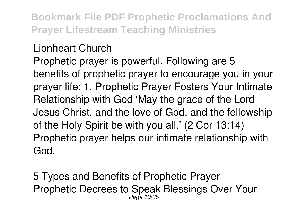#### Lionheart Church

Prophetic prayer is powerful. Following are 5 benefits of prophetic prayer to encourage you in your prayer life: 1. Prophetic Prayer Fosters Your Intimate Relationship with God 'May the grace of the Lord Jesus Christ, and the love of God, and the fellowship of the Holy Spirit be with you all.' (2 Cor 13:14) Prophetic prayer helps our intimate relationship with God.

5 Types and Benefits of Prophetic Prayer Prophetic Decrees to Speak Blessings Over Your Page 10/35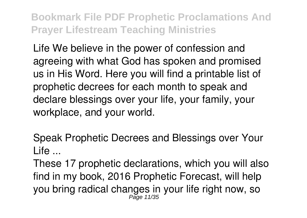Life We believe in the power of confession and agreeing with what God has spoken and promised us in His Word. Here you will find a printable list of prophetic decrees for each month to speak and declare blessings over your life, your family, your workplace, and your world.

Speak Prophetic Decrees and Blessings over Your Life ...

These 17 prophetic declarations, which you will also find in my book, 2016 Prophetic Forecast, will help you bring radical changes in your life right now, so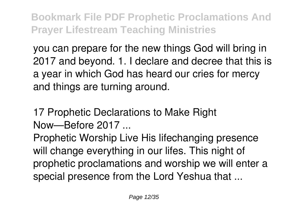you can prepare for the new things God will bring in 2017 and beyond. 1. I declare and decree that this is a year in which God has heard our cries for mercy and things are turning around.

17 Prophetic Declarations to Make Right Now—Before 2017 ...

Prophetic Worship Live His lifechanging presence will change everything in our lifes. This night of prophetic proclamations and worship we will enter a special presence from the Lord Yeshua that ...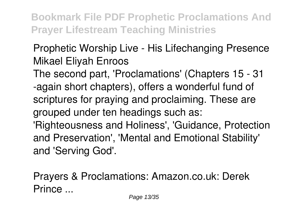## Prophetic Worship Live - His Lifechanging Presence Mikael Eliyah Enroos

The second part, 'Proclamations' (Chapters 15 - 31 -again short chapters), offers a wonderful fund of scriptures for praying and proclaiming. These are grouped under ten headings such as: 'Righteousness and Holiness', 'Guidance, Protection and Preservation', 'Mental and Emotional Stability'

and 'Serving God'.

Prayers & Proclamations: Amazon.co.uk: Derek Prince ...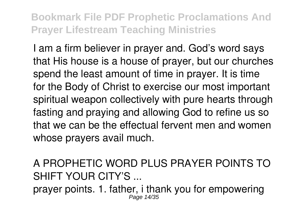I am a firm believer in prayer and. God's word says that His house is a house of prayer, but our churches spend the least amount of time in prayer. It is time for the Body of Christ to exercise our most important spiritual weapon collectively with pure hearts through fasting and praying and allowing God to refine us so that we can be the effectual fervent men and women whose prayers avail much.

A PROPHETIC WORD PLUS PRAYER POINTS TO SHIFT YOUR CITY'S ...

prayer points. 1. father, i thank you for empowering Page 14/35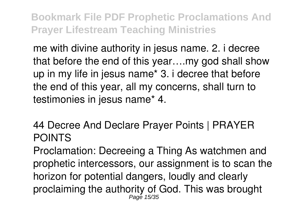me with divine authority in jesus name. 2. i decree that before the end of this year….my god shall show up in my life in jesus name\* 3. i decree that before the end of this year, all my concerns, shall turn to testimonies in jesus name\* 4.

44 Decree And Declare Prayer Points | PRAYER POINTS

Proclamation: Decreeing a Thing As watchmen and prophetic intercessors, our assignment is to scan the horizon for potential dangers, loudly and clearly proclaiming the authority of God. This was brought Page 15/35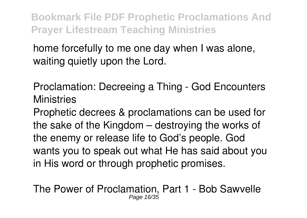home forcefully to me one day when I was alone, waiting quietly upon the Lord.

Proclamation: Decreeing a Thing - God Encounters **Ministries** 

Prophetic decrees & proclamations can be used for the sake of the Kingdom – destroying the works of the enemy or release life to God's people. God wants you to speak out what He has said about you in His word or through prophetic promises.

The Power of Proclamation, Part 1 - Bob Sawvelle Page 16/35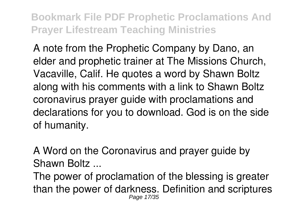A note from the Prophetic Company by Dano, an elder and prophetic trainer at The Missions Church, Vacaville, Calif. He quotes a word by Shawn Boltz along with his comments with a link to Shawn Boltz coronavirus prayer guide with proclamations and declarations for you to download. God is on the side of humanity.

A Word on the Coronavirus and prayer guide by Shawn Boltz ...

The power of proclamation of the blessing is greater than the power of darkness. Definition and scriptures Page 17/35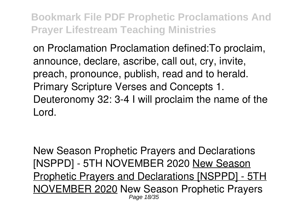on Proclamation Proclamation defined:To proclaim, announce, declare, ascribe, call out, cry, invite, preach, pronounce, publish, read and to herald. Primary Scripture Verses and Concepts 1. Deuteronomy 32: 3-4 I will proclaim the name of the Lord.

New Season Prophetic Prayers and Declarations [NSPPD] - 5TH NOVEMBER 2020 New Season Prophetic Prayers and Declarations [NSPPD] - 5TH NOVEMBER 2020 New Season Prophetic Prayers Page 18/35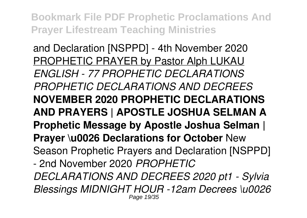and Declaration [NSPPD] - 4th November 2020 PROPHETIC PRAYER by Pastor Alph LUKAU *ENGLISH - 77 PROPHETIC DECLARATIONS PROPHETIC DECLARATIONS AND DECREES* **NOVEMBER 2020 PROPHETIC DECLARATIONS AND PRAYERS | APOSTLE JOSHUA SELMAN A Prophetic Message by Apostle Joshua Selman | Prayer \u0026 Declarations for October** New Season Prophetic Prayers and Declaration [NSPPD] - 2nd November 2020 *PROPHETIC DECLARATIONS AND DECREES 2020 pt1 - Sylvia Blessings MIDNIGHT HOUR -12am Decrees \u0026* Page 19/35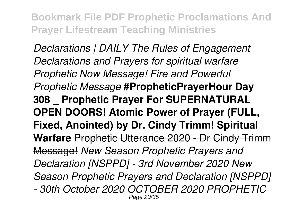*Declarations | DAILY The Rules of Engagement Declarations and Prayers for spiritual warfare Prophetic Now Message! Fire and Powerful Prophetic Message* **#PropheticPrayerHour Day 308 \_ Prophetic Prayer For SUPERNATURAL OPEN DOORS! Atomic Power of Prayer (FULL, Fixed, Anointed) by Dr. Cindy Trimm! Spiritual Warfare** Prophetic Utterance 2020 - Dr Cindy Trimm Message! *New Season Prophetic Prayers and Declaration [NSPPD] - 3rd November 2020 New Season Prophetic Prayers and Declaration [NSPPD] - 30th October 2020 OCTOBER 2020 PROPHETIC* Page 20/35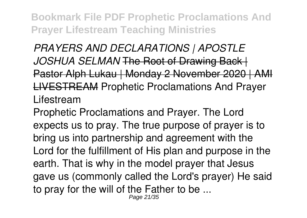*PRAYERS AND DECLARATIONS | APOSTLE JOSHUA SELMAN* The Root of Drawing Back | Pastor Alph Lukau | Monday 2 November 2020 | AMI LIVESTREAM Prophetic Proclamations And Prayer Lifestream

Prophetic Proclamations and Prayer. The Lord expects us to pray. The true purpose of prayer is to bring us into partnership and agreement with the Lord for the fulfillment of His plan and purpose in the earth. That is why in the model prayer that Jesus gave us (commonly called the Lord's prayer) He said to pray for the will of the Father to be ...

Page 21/35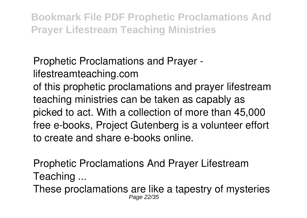Prophetic Proclamations and Prayer lifestreamteaching.com of this prophetic proclamations and prayer lifestream teaching ministries can be taken as capably as picked to act. With a collection of more than 45,000 free e-books, Project Gutenberg is a volunteer effort to create and share e-books online.

Prophetic Proclamations And Prayer Lifestream Teaching ...

These proclamations are like a tapestry of mysteries Page 22/35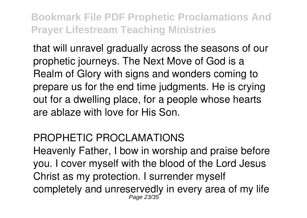that will unravel gradually across the seasons of our prophetic journeys. The Next Move of God is a Realm of Glory with signs and wonders coming to prepare us for the end time judgments. He is crying out for a dwelling place, for a people whose hearts are ablaze with love for His Son.

#### PROPHETIC PROCLAMATIONS

Heavenly Father, I bow in worship and praise before you. I cover myself with the blood of the Lord Jesus Christ as my protection. I surrender myself completely and unreservedly in every area of my life Page 23/35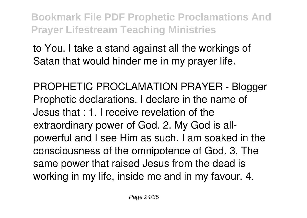to You. I take a stand against all the workings of Satan that would hinder me in my prayer life.

PROPHETIC PROCLAMATION PRAYER - Blogger Prophetic declarations. I declare in the name of Jesus that : 1. I receive revelation of the extraordinary power of God. 2. My God is allpowerful and I see Him as such. I am soaked in the consciousness of the omnipotence of God. 3. The same power that raised Jesus from the dead is working in my life, inside me and in my favour. 4.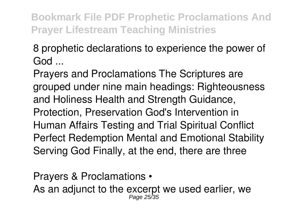8 prophetic declarations to experience the power of God ...

Prayers and Proclamations The Scriptures are grouped under nine main headings: Righteousness and Holiness Health and Strength Guidance, Protection, Preservation God's Intervention in Human Affairs Testing and Trial Spiritual Conflict Perfect Redemption Mental and Emotional Stability Serving God Finally, at the end, there are three

Prayers & Proclamations • As an adjunct to the excerpt we used earlier, we Page 25/35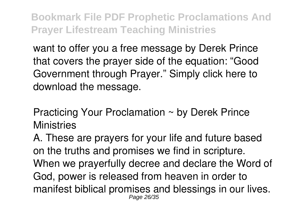want to offer you a free message by Derek Prince that covers the prayer side of the equation: "Good Government through Prayer." Simply click here to download the message.

Practicing Your Proclamation ~ by Derek Prince **Ministries** 

A. These are prayers for your life and future based on the truths and promises we find in scripture. When we prayerfully decree and declare the Word of God, power is released from heaven in order to manifest biblical promises and blessings in our lives. Page 26/35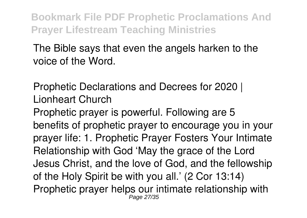The Bible says that even the angels harken to the voice of the Word.

Prophetic Declarations and Decrees for 2020 | Lionheart Church

Prophetic prayer is powerful. Following are 5 benefits of prophetic prayer to encourage you in your prayer life: 1. Prophetic Prayer Fosters Your Intimate Relationship with God 'May the grace of the Lord Jesus Christ, and the love of God, and the fellowship of the Holy Spirit be with you all.' (2 Cor 13:14) Prophetic prayer helps our intimate relationship with Page 27/35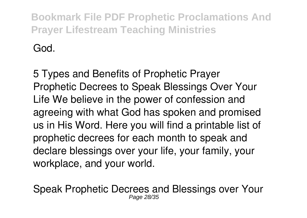God.

5 Types and Benefits of Prophetic Prayer Prophetic Decrees to Speak Blessings Over Your Life We believe in the power of confession and agreeing with what God has spoken and promised us in His Word. Here you will find a printable list of prophetic decrees for each month to speak and declare blessings over your life, your family, your workplace, and your world.

Speak Prophetic Decrees and Blessings over Your Page 28/35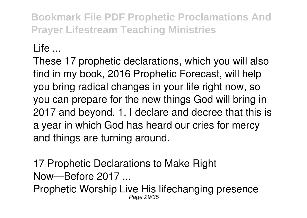#### $L$  ife  $\sim$

These 17 prophetic declarations, which you will also find in my book, 2016 Prophetic Forecast, will help you bring radical changes in your life right now, so you can prepare for the new things God will bring in 2017 and beyond. 1. I declare and decree that this is a year in which God has heard our cries for mercy and things are turning around.

17 Prophetic Declarations to Make Right Now—Before 2017 ...

Prophetic Worship Live His lifechanging presence Page 29/35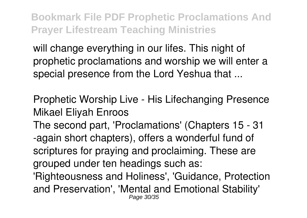will change everything in our lifes. This night of prophetic proclamations and worship we will enter a special presence from the Lord Yeshua that ...

Prophetic Worship Live - His Lifechanging Presence Mikael Eliyah Enroos

The second part, 'Proclamations' (Chapters 15 - 31 -again short chapters), offers a wonderful fund of scriptures for praying and proclaiming. These are grouped under ten headings such as:

'Righteousness and Holiness', 'Guidance, Protection and Preservation', 'Mental and Emotional Stability' Page 30/35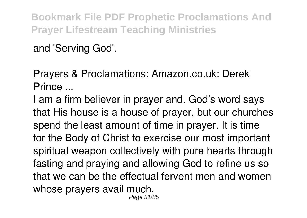and 'Serving God'.

Prayers & Proclamations: Amazon.co.uk: Derek Prince ...

I am a firm believer in prayer and. God's word says that His house is a house of prayer, but our churches spend the least amount of time in prayer. It is time for the Body of Christ to exercise our most important spiritual weapon collectively with pure hearts through fasting and praying and allowing God to refine us so that we can be the effectual fervent men and women whose prayers avail much. Page 31/35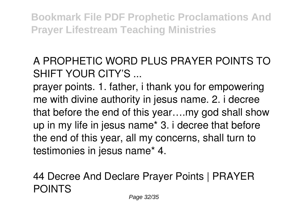A PROPHETIC WORD PLUS PRAYER POINTS TO SHIFT YOUR CITY'S ...

prayer points. 1. father, i thank you for empowering me with divine authority in jesus name. 2. i decree that before the end of this year….my god shall show up in my life in jesus name\* 3. i decree that before the end of this year, all my concerns, shall turn to testimonies in jesus name\* 4.

44 Decree And Declare Prayer Points | PRAYER POINTS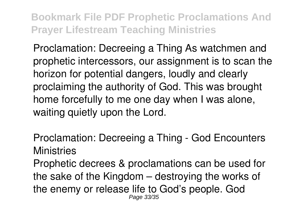Proclamation: Decreeing a Thing As watchmen and prophetic intercessors, our assignment is to scan the horizon for potential dangers, loudly and clearly proclaiming the authority of God. This was brought home forcefully to me one day when I was alone, waiting quietly upon the Lord.

Proclamation: Decreeing a Thing - God Encounters **Ministries** 

Prophetic decrees & proclamations can be used for the sake of the Kingdom – destroying the works of the enemy or release life to God's people. God Page 33/35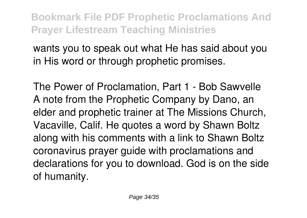wants you to speak out what He has said about you in His word or through prophetic promises.

The Power of Proclamation, Part 1 - Bob Sawvelle A note from the Prophetic Company by Dano, an elder and prophetic trainer at The Missions Church, Vacaville, Calif. He quotes a word by Shawn Boltz along with his comments with a link to Shawn Boltz coronavirus prayer guide with proclamations and declarations for you to download. God is on the side of humanity.